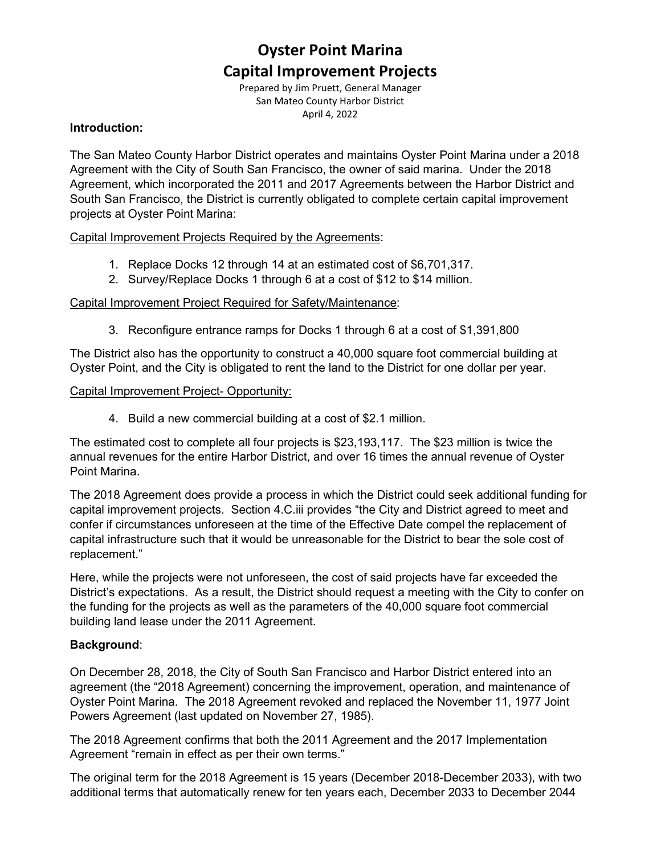# **Oyster Point Marina Capital Improvement Projects**

Prepared by Jim Pruett, General Manager San Mateo County Harbor District April 4, 2022

#### **Introduction:**

The San Mateo County Harbor District operates and maintains Oyster Point Marina under a 2018 Agreement with the City of South San Francisco, the owner of said marina. Under the 2018 Agreement, which incorporated the 2011 and 2017 Agreements between the Harbor District and South San Francisco, the District is currently obligated to complete certain capital improvement projects at Oyster Point Marina:

#### Capital Improvement Projects Required by the Agreements:

- 1. Replace Docks 12 through 14 at an estimated cost of \$6,701,317.
- 2. Survey/Replace Docks 1 through 6 at a cost of \$12 to \$14 million.

#### Capital Improvement Project Required for Safety/Maintenance:

3. Reconfigure entrance ramps for Docks 1 through 6 at a cost of \$1,391,800

The District also has the opportunity to construct a 40,000 square foot commercial building at Oyster Point, and the City is obligated to rent the land to the District for one dollar per year.

#### Capital Improvement Project- Opportunity:

4. Build a new commercial building at a cost of \$2.1 million.

The estimated cost to complete all four projects is \$23,193,117. The \$23 million is twice the annual revenues for the entire Harbor District, and over 16 times the annual revenue of Oyster Point Marina.

The 2018 Agreement does provide a process in which the District could seek additional funding for capital improvement projects. Section 4.C.iii provides "the City and District agreed to meet and confer if circumstances unforeseen at the time of the Effective Date compel the replacement of capital infrastructure such that it would be unreasonable for the District to bear the sole cost of replacement."

Here, while the projects were not unforeseen, the cost of said projects have far exceeded the District's expectations. As a result, the District should request a meeting with the City to confer on the funding for the projects as well as the parameters of the 40,000 square foot commercial building land lease under the 2011 Agreement.

#### **Background**:

On December 28, 2018, the City of South San Francisco and Harbor District entered into an agreement (the "2018 Agreement) concerning the improvement, operation, and maintenance of Oyster Point Marina. The 2018 Agreement revoked and replaced the November 11, 1977 Joint Powers Agreement (last updated on November 27, 1985).

The 2018 Agreement confirms that both the 2011 Agreement and the 2017 Implementation Agreement "remain in effect as per their own terms."

The original term for the 2018 Agreement is 15 years (December 2018-December 2033), with two additional terms that automatically renew for ten years each, December 2033 to December 2044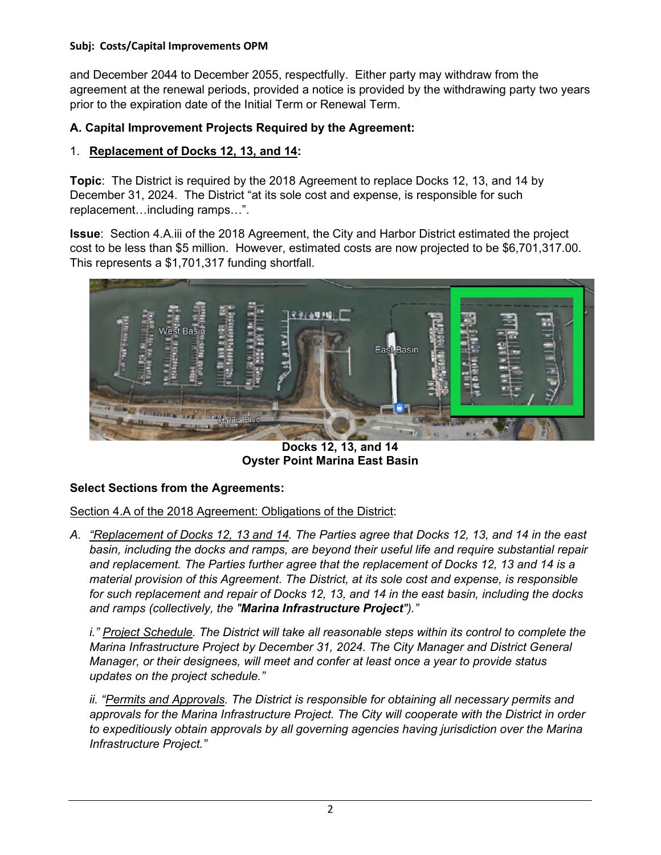and December 2044 to December 2055, respectfully. Either party may withdraw from the agreement at the renewal periods, provided a notice is provided by the withdrawing party two years prior to the expiration date of the Initial Term or Renewal Term.

# **A. Capital Improvement Projects Required by the Agreement:**

#### 1. **Replacement of Docks 12, 13, and 14:**

**Topic**: The District is required by the 2018 Agreement to replace Docks 12, 13, and 14 by December 31, 2024. The District "at its sole cost and expense, is responsible for such replacement…including ramps…".

**Issue**: Section 4.A.iii of the 2018 Agreement, the City and Harbor District estimated the project cost to be less than \$5 million. However, estimated costs are now projected to be \$6,701,317.00. This represents a \$1,701,317 funding shortfall.



**Docks 12, 13, and 14 Oyster Point Marina East Basin**

# **Select Sections from the Agreements:**

Section 4.A of the 2018 Agreement: Obligations of the District:

*A. "Replacement of Docks 12, 13 and 14. The Parties agree that Docks 12, 13, and 14 in the east basin, including the docks and ramps, are beyond their useful life and require substantial repair and replacement. The Parties further agree that the replacement of Docks 12, 13 and 14 is a material provision of this Agreement. The District, at its sole cost and expense, is responsible for such replacement and repair of Docks 12, 13, and 14 in the east basin, including the docks and ramps (collectively, the "Marina Infrastructure Project")."* 

*i." Project Schedule. The District will take all reasonable steps within its control to complete the Marina Infrastructure Project by December 31, 2024. The City Manager and District General Manager, or their designees, will meet and confer at least once a year to provide status updates on the project schedule."* 

*ii. "Permits and Approvals. The District is responsible for obtaining all necessary permits and approvals for the Marina Infrastructure Project. The City will cooperate with the District in order to expeditiously obtain approvals by all governing agencies having jurisdiction over the Marina Infrastructure Project."*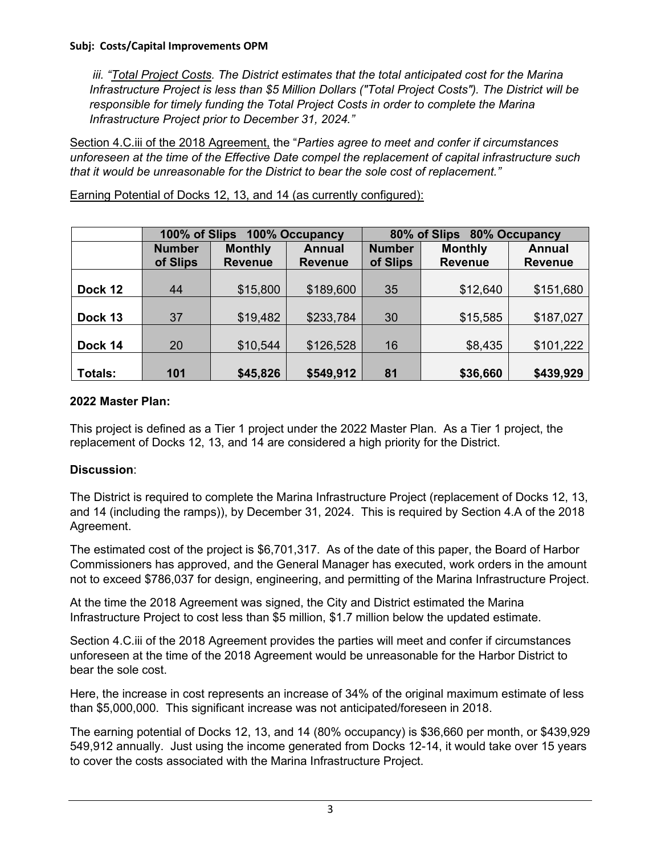*iii. "Total Project Costs. The District estimates that the total anticipated cost for the Marina Infrastructure Project is less than \$5 Million Dollars ("Total Project Costs"). The District will be responsible for timely funding the Total Project Costs in order to complete the Marina Infrastructure Project prior to December 31, 2024."* 

Section 4.C.iii of the 2018 Agreement, the "*Parties agree to meet and confer if circumstances unforeseen at the time of the Effective Date compel the replacement of capital infrastructure such that it would be unreasonable for the District to bear the sole cost of replacement."*

Earning Potential of Docks 12, 13, and 14 (as currently configured):

|                | 100% of Slips<br>100% Occupancy |                |                | 80% of Slips 80% Occupancy |                |                |  |
|----------------|---------------------------------|----------------|----------------|----------------------------|----------------|----------------|--|
|                | <b>Number</b>                   | <b>Monthly</b> | <b>Annual</b>  | <b>Number</b>              | <b>Monthly</b> | <b>Annual</b>  |  |
|                | of Slips                        | <b>Revenue</b> | <b>Revenue</b> | of Slips                   | <b>Revenue</b> | <b>Revenue</b> |  |
|                |                                 |                |                |                            |                |                |  |
| Dock 12        | 44                              | \$15,800       | \$189,600      | 35                         | \$12,640       | \$151,680      |  |
|                |                                 |                |                |                            |                |                |  |
| Dock 13        | 37                              | \$19,482       | \$233,784      | 30                         | \$15,585       | \$187,027      |  |
|                |                                 |                |                |                            |                |                |  |
| Dock 14        | 20                              | \$10,544       | \$126,528      | 16                         | \$8,435        | \$101,222      |  |
|                |                                 |                |                |                            |                |                |  |
| <b>Totals:</b> | 101                             | \$45,826       | \$549,912      | 81                         | \$36,660       | \$439,929      |  |

#### **2022 Master Plan:**

This project is defined as a Tier 1 project under the 2022 Master Plan. As a Tier 1 project, the replacement of Docks 12, 13, and 14 are considered a high priority for the District.

# **Discussion**:

The District is required to complete the Marina Infrastructure Project (replacement of Docks 12, 13, and 14 (including the ramps)), by December 31, 2024. This is required by Section 4.A of the 2018 Agreement.

The estimated cost of the project is \$6,701,317. As of the date of this paper, the Board of Harbor Commissioners has approved, and the General Manager has executed, work orders in the amount not to exceed \$786,037 for design, engineering, and permitting of the Marina Infrastructure Project.

At the time the 2018 Agreement was signed, the City and District estimated the Marina Infrastructure Project to cost less than \$5 million, \$1.7 million below the updated estimate.

Section 4.C.iii of the 2018 Agreement provides the parties will meet and confer if circumstances unforeseen at the time of the 2018 Agreement would be unreasonable for the Harbor District to bear the sole cost.

Here, the increase in cost represents an increase of 34% of the original maximum estimate of less than \$5,000,000. This significant increase was not anticipated/foreseen in 2018.

The earning potential of Docks 12, 13, and 14 (80% occupancy) is \$36,660 per month, or \$439,929 549,912 annually. Just using the income generated from Docks 12-14, it would take over 15 years to cover the costs associated with the Marina Infrastructure Project.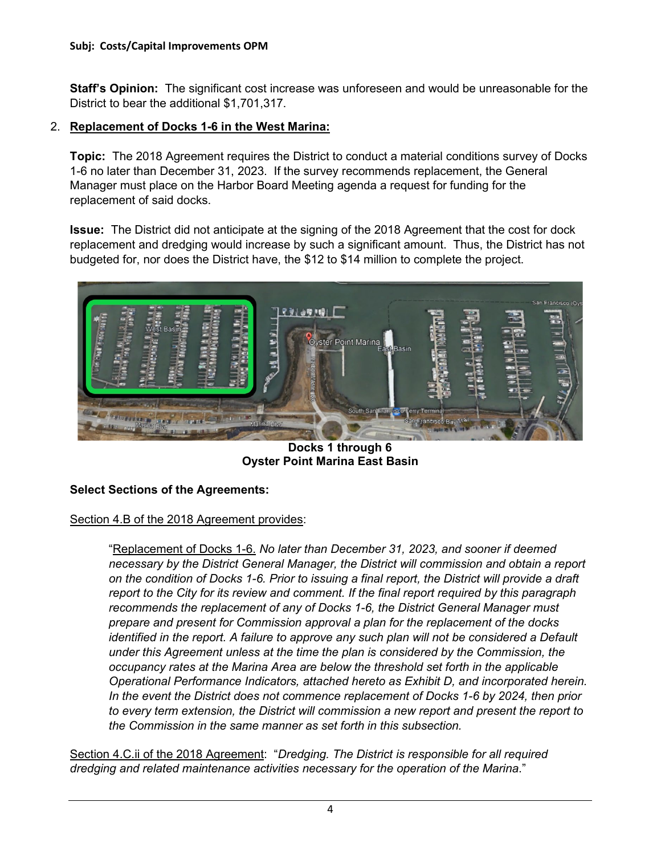**Staff's Opinion:** The significant cost increase was unforeseen and would be unreasonable for the District to bear the additional \$1,701,317.

#### 2. **Replacement of Docks 1-6 in the West Marina:**

**Topic:** The 2018 Agreement requires the District to conduct a material conditions survey of Docks 1-6 no later than December 31, 2023. If the survey recommends replacement, the General Manager must place on the Harbor Board Meeting agenda a request for funding for the replacement of said docks.

**Issue:** The District did not anticipate at the signing of the 2018 Agreement that the cost for dock replacement and dredging would increase by such a significant amount. Thus, the District has not budgeted for, nor does the District have, the \$12 to \$14 million to complete the project.



**Docks 1 through 6 Oyster Point Marina East Basin**

# **Select Sections of the Agreements:**

#### Section 4.B of the 2018 Agreement provides:

"Replacement of Docks 1-6. *No later than December 31, 2023, and sooner if deemed necessary by the District General Manager, the District will commission and obtain a report on the condition of Docks 1-6. Prior to issuing a final report, the District will provide a draft report to the City for its review and comment. If the final report required by this paragraph recommends the replacement of any of Docks 1-6, the District General Manager must prepare and present for Commission approval a plan for the replacement of the docks identified in the report. A failure to approve any such plan will not be considered a Default under this Agreement unless at the time the plan is considered by the Commission, the occupancy rates at the Marina Area are below the threshold set forth in the applicable Operational Performance Indicators, attached hereto as Exhibit D, and incorporated herein. In the event the District does not commence replacement of Docks 1-6 by 2024, then prior to every term extension, the District will commission a new report and present the report to the Commission in the same manner as set forth in this subsection.*

Section 4.C.ii of the 2018 Agreement: "*Dredging. The District is responsible for all required dredging and related maintenance activities necessary for the operation of the Marina*."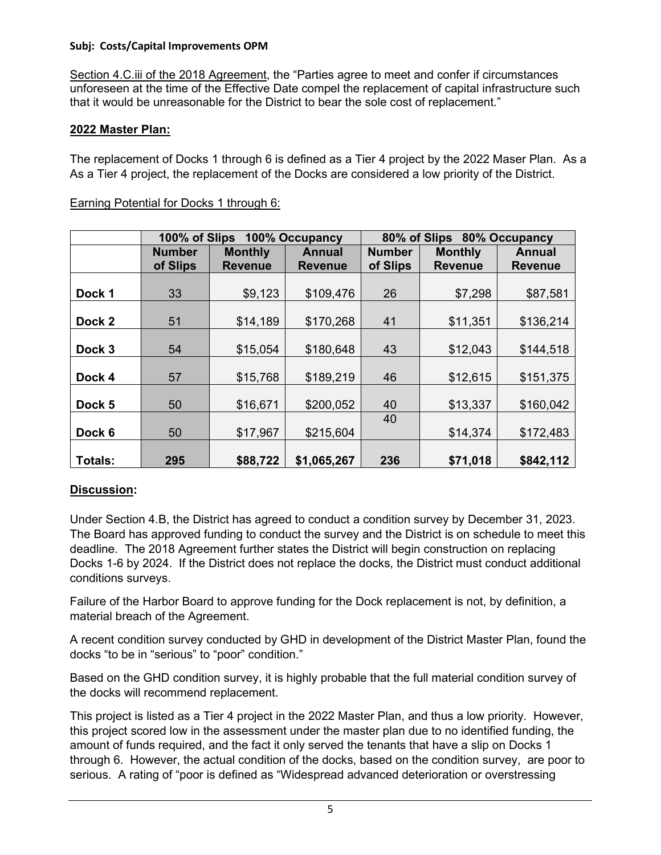Section 4.C.iii of the 2018 Agreement, the "Parties agree to meet and confer if circumstances unforeseen at the time of the Effective Date compel the replacement of capital infrastructure such that it would be unreasonable for the District to bear the sole cost of replacement."

#### **2022 Master Plan:**

The replacement of Docks 1 through 6 is defined as a Tier 4 project by the 2022 Maser Plan. As a As a Tier 4 project, the replacement of the Docks are considered a low priority of the District.

|                | 100% of Slips |                | 100% Occupancy |               | 80% of Slips 80% Occupancy |                |
|----------------|---------------|----------------|----------------|---------------|----------------------------|----------------|
|                | <b>Number</b> | <b>Monthly</b> | <b>Annual</b>  | <b>Number</b> | <b>Monthly</b>             | Annual         |
|                | of Slips      | <b>Revenue</b> | <b>Revenue</b> | of Slips      | <b>Revenue</b>             | <b>Revenue</b> |
|                |               |                |                |               |                            |                |
| Dock 1         | 33            | \$9,123        | \$109,476      | 26            | \$7,298                    | \$87,581       |
|                |               |                |                |               |                            |                |
| Dock 2         | 51            | \$14,189       | \$170,268      | 41            | \$11,351                   | \$136,214      |
|                |               |                |                |               |                            |                |
| Dock 3         | 54            | \$15,054       | \$180,648      | 43            | \$12,043                   | \$144,518      |
|                |               |                |                |               |                            |                |
| Dock 4         | 57            | \$15,768       | \$189,219      | 46            | \$12,615                   | \$151,375      |
|                |               |                |                |               |                            |                |
| Dock 5         | 50            | \$16,671       | \$200,052      | 40            | \$13,337                   | \$160,042      |
|                |               |                |                | 40            |                            |                |
| Dock 6         | 50            | \$17,967       | \$215,604      |               | \$14,374                   | \$172,483      |
|                |               |                |                |               |                            |                |
| <b>Totals:</b> | 295           | \$88,722       | \$1,065,267    | 236           | \$71,018                   | \$842,112      |

#### Earning Potential for Docks 1 through 6:

# **Discussion:**

Under Section 4.B, the District has agreed to conduct a condition survey by December 31, 2023. The Board has approved funding to conduct the survey and the District is on schedule to meet this deadline. The 2018 Agreement further states the District will begin construction on replacing Docks 1-6 by 2024. If the District does not replace the docks, the District must conduct additional conditions surveys.

Failure of the Harbor Board to approve funding for the Dock replacement is not, by definition, a material breach of the Agreement.

A recent condition survey conducted by GHD in development of the District Master Plan, found the docks "to be in "serious" to "poor" condition."

Based on the GHD condition survey, it is highly probable that the full material condition survey of the docks will recommend replacement.

This project is listed as a Tier 4 project in the 2022 Master Plan, and thus a low priority. However, this project scored low in the assessment under the master plan due to no identified funding, the amount of funds required, and the fact it only served the tenants that have a slip on Docks 1 through 6. However, the actual condition of the docks, based on the condition survey, are poor to serious. A rating of "poor is defined as "Widespread advanced deterioration or overstressing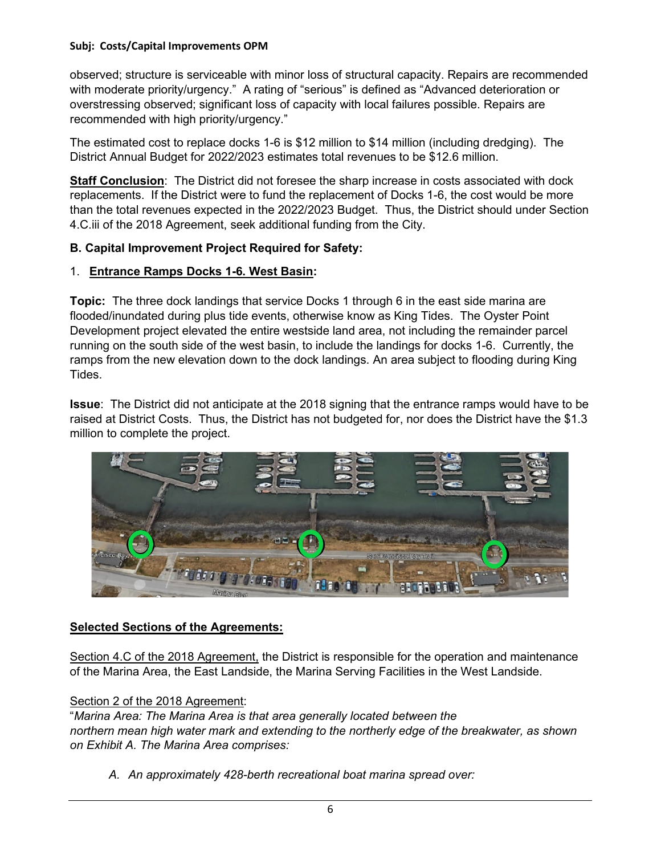observed; structure is serviceable with minor loss of structural capacity. Repairs are recommended with moderate priority/urgency." A rating of "serious" is defined as "Advanced deterioration or overstressing observed; significant loss of capacity with local failures possible. Repairs are recommended with high priority/urgency."

The estimated cost to replace docks 1-6 is \$12 million to \$14 million (including dredging). The District Annual Budget for 2022/2023 estimates total revenues to be \$12.6 million.

**Staff Conclusion**: The District did not foresee the sharp increase in costs associated with dock replacements. If the District were to fund the replacement of Docks 1-6, the cost would be more than the total revenues expected in the 2022/2023 Budget. Thus, the District should under Section 4.C.iii of the 2018 Agreement, seek additional funding from the City.

#### **B. Capital Improvement Project Required for Safety:**

#### 1. **Entrance Ramps Docks 1-6. West Basin:**

**Topic:** The three dock landings that service Docks 1 through 6 in the east side marina are flooded/inundated during plus tide events, otherwise know as King Tides. The Oyster Point Development project elevated the entire westside land area, not including the remainder parcel running on the south side of the west basin, to include the landings for docks 1-6. Currently, the ramps from the new elevation down to the dock landings. An area subject to flooding during King Tides.

**Issue**: The District did not anticipate at the 2018 signing that the entrance ramps would have to be raised at District Costs. Thus, the District has not budgeted for, nor does the District have the \$1.3 million to complete the project.



# **Selected Sections of the Agreements:**

Section 4.C of the 2018 Agreement, the District is responsible for the operation and maintenance of the Marina Area, the East Landside, the Marina Serving Facilities in the West Landside.

#### Section 2 of the 2018 Agreement:

"*Marina Area: The Marina Area is that area generally located between the northern mean high water mark and extending to the northerly edge of the breakwater, as shown on Exhibit A. The Marina Area comprises:*

*A. An approximately 428-berth recreational boat marina spread over:*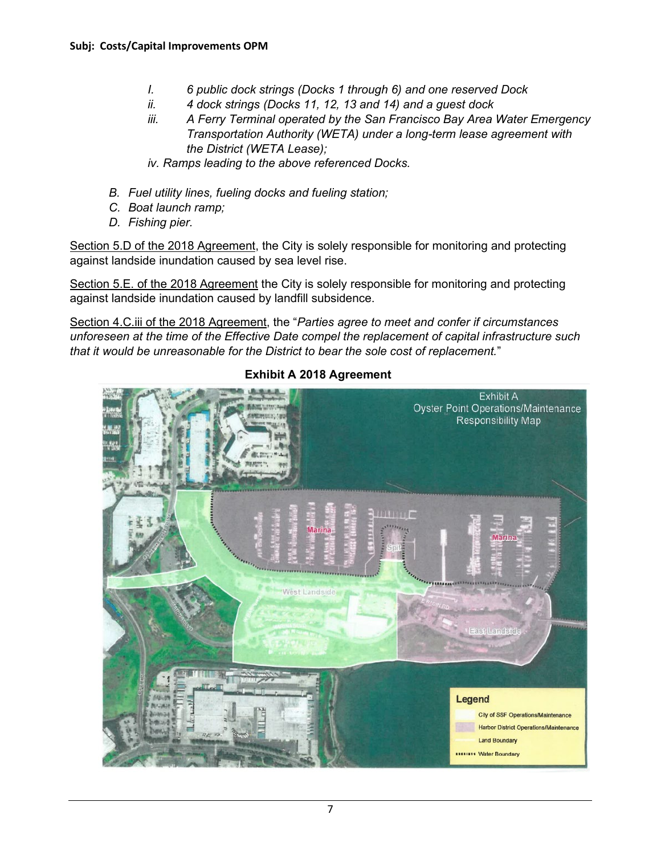- *I. 6 public dock strings (Docks 1 through 6) and one reserved Dock*
- *ii. 4 dock strings (Docks 11, 12, 13 and 14) and a guest dock*
- *iii. A Ferry Terminal operated by the San Francisco Bay Area Water Emergency Transportation Authority (WETA) under a long-term lease agreement with the District (WETA Lease);*
- *iv. Ramps leading to the above referenced Docks.*
- *B. Fuel utility lines, fueling docks and fueling station;*
- *C. Boat launch ramp;*
- *D. Fishing pier.*

Section 5.D of the 2018 Agreement, the City is solely responsible for monitoring and protecting against landside inundation caused by sea level rise.

Section 5.E. of the 2018 Agreement the City is solely responsible for monitoring and protecting against landside inundation caused by landfill subsidence.

Section 4.C.iii of the 2018 Agreement, the "*Parties agree to meet and confer if circumstances unforeseen at the time of the Effective Date compel the replacement of capital infrastructure such that it would be unreasonable for the District to bear the sole cost of replacement.*"



**Exhibit A 2018 Agreement**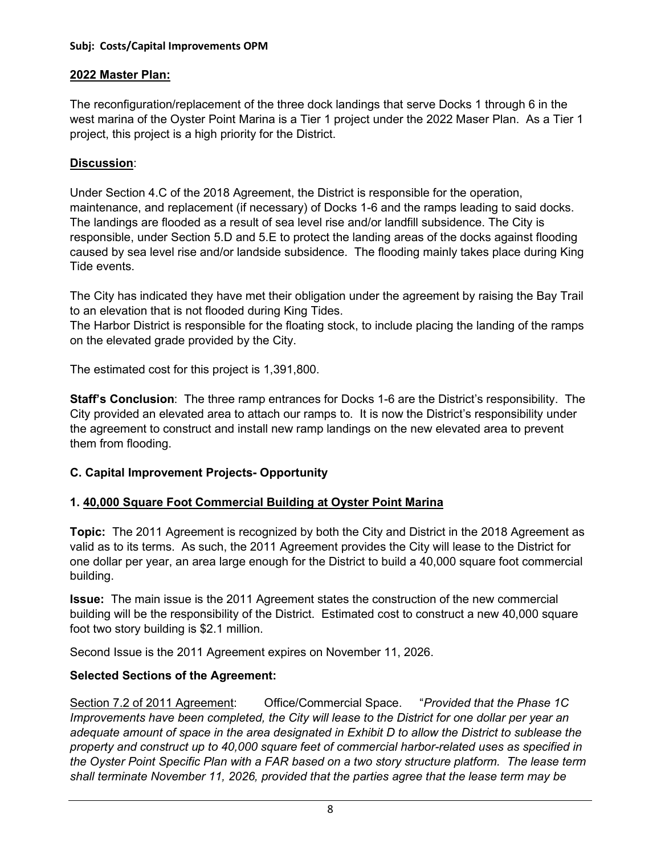# **2022 Master Plan:**

The reconfiguration/replacement of the three dock landings that serve Docks 1 through 6 in the west marina of the Oyster Point Marina is a Tier 1 project under the 2022 Maser Plan. As a Tier 1 project, this project is a high priority for the District.

# **Discussion**:

Under Section 4.C of the 2018 Agreement, the District is responsible for the operation, maintenance, and replacement (if necessary) of Docks 1-6 and the ramps leading to said docks. The landings are flooded as a result of sea level rise and/or landfill subsidence. The City is responsible, under Section 5.D and 5.E to protect the landing areas of the docks against flooding caused by sea level rise and/or landside subsidence. The flooding mainly takes place during King Tide events.

The City has indicated they have met their obligation under the agreement by raising the Bay Trail to an elevation that is not flooded during King Tides.

The Harbor District is responsible for the floating stock, to include placing the landing of the ramps on the elevated grade provided by the City.

The estimated cost for this project is 1,391,800.

**Staff's Conclusion**: The three ramp entrances for Docks 1-6 are the District's responsibility. The City provided an elevated area to attach our ramps to. It is now the District's responsibility under the agreement to construct and install new ramp landings on the new elevated area to prevent them from flooding.

# **C. Capital Improvement Projects- Opportunity**

# **1. 40,000 Square Foot Commercial Building at Oyster Point Marina**

**Topic:** The 2011 Agreement is recognized by both the City and District in the 2018 Agreement as valid as to its terms. As such, the 2011 Agreement provides the City will lease to the District for one dollar per year, an area large enough for the District to build a 40,000 square foot commercial building.

**Issue:** The main issue is the 2011 Agreement states the construction of the new commercial building will be the responsibility of the District. Estimated cost to construct a new 40,000 square foot two story building is \$2.1 million.

Second Issue is the 2011 Agreement expires on November 11, 2026.

# **Selected Sections of the Agreement:**

Section 7.2 of 2011 Agreement: Office/Commercial Space. "*Provided that the Phase 1C Improvements have been completed, the City will lease to the District for one dollar per year an adequate amount of space in the area designated in Exhibit D to allow the District to sublease the property and construct up to 40,000 square feet of commercial harbor-related uses as specified in the Oyster Point Specific Plan with a FAR based on a two story structure platform. The lease term shall terminate November 11, 2026, provided that the parties agree that the lease term may be*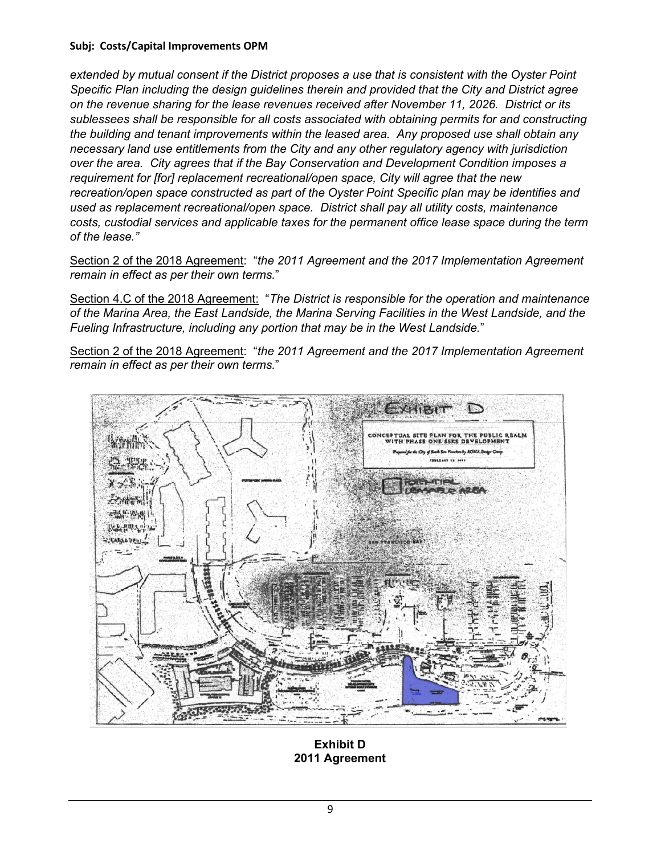*extended by mutual consent if the District proposes a use that is consistent with the Oyster Point Specific Plan including the design guidelines therein and provided that the City and District agree on the revenue sharing for the lease revenues received after November 11, 2026. District or its sublessees shall be responsible for all costs associated with obtaining permits for and constructing the building and tenant improvements within the leased area. Any proposed use shall obtain any necessary land use entitlements from the City and any other regulatory agency with jurisdiction over the area. City agrees that if the Bay Conservation and Development Condition imposes a requirement for [for] replacement recreational/open space, City will agree that the new recreation/open space constructed as part of the Oyster Point Specific plan may be identifies and used as replacement recreational/open space. District shall pay all utility costs, maintenance costs, custodial services and applicable taxes for the permanent office lease space during the term of the lease."*

Section 2 of the 2018 Agreement: "*the 2011 Agreement and the 2017 Implementation Agreement remain in effect as per their own terms.*"

Section 4.C of the 2018 Agreement: "*The District is responsible for the operation and maintenance of the Marina Area, the East Landside, the Marina Serving Facilities in the West Landside, and the Fueling Infrastructure, including any portion that may be in the West Landside.*"

Section 2 of the 2018 Agreement: "*the 2011 Agreement and the 2017 Implementation Agreement remain in effect as per their own terms.*"



**Exhibit D 2011 Agreement**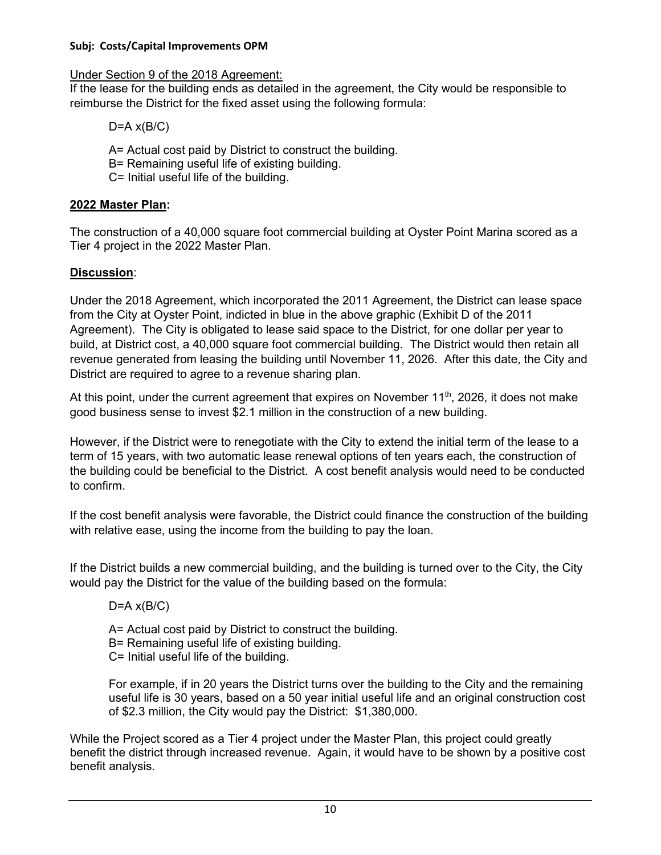Under Section 9 of the 2018 Agreement:

If the lease for the building ends as detailed in the agreement, the City would be responsible to reimburse the District for the fixed asset using the following formula:

 $D=A \times (B/C)$ 

A= Actual cost paid by District to construct the building.

B= Remaining useful life of existing building.

C= Initial useful life of the building.

# **2022 Master Plan:**

The construction of a 40,000 square foot commercial building at Oyster Point Marina scored as a Tier 4 project in the 2022 Master Plan.

# **Discussion**:

Under the 2018 Agreement, which incorporated the 2011 Agreement, the District can lease space from the City at Oyster Point, indicted in blue in the above graphic (Exhibit D of the 2011 Agreement). The City is obligated to lease said space to the District, for one dollar per year to build, at District cost, a 40,000 square foot commercial building. The District would then retain all revenue generated from leasing the building until November 11, 2026. After this date, the City and District are required to agree to a revenue sharing plan.

At this point, under the current agreement that expires on November  $11<sup>th</sup>$ , 2026, it does not make good business sense to invest \$2.1 million in the construction of a new building.

However, if the District were to renegotiate with the City to extend the initial term of the lease to a term of 15 years, with two automatic lease renewal options of ten years each, the construction of the building could be beneficial to the District. A cost benefit analysis would need to be conducted to confirm.

If the cost benefit analysis were favorable, the District could finance the construction of the building with relative ease, using the income from the building to pay the loan.

If the District builds a new commercial building, and the building is turned over to the City, the City would pay the District for the value of the building based on the formula:

 $D=A \times (B/C)$ 

A= Actual cost paid by District to construct the building.

B= Remaining useful life of existing building.

C= Initial useful life of the building.

For example, if in 20 years the District turns over the building to the City and the remaining useful life is 30 years, based on a 50 year initial useful life and an original construction cost of \$2.3 million, the City would pay the District: \$1,380,000.

While the Project scored as a Tier 4 project under the Master Plan, this project could greatly benefit the district through increased revenue. Again, it would have to be shown by a positive cost benefit analysis.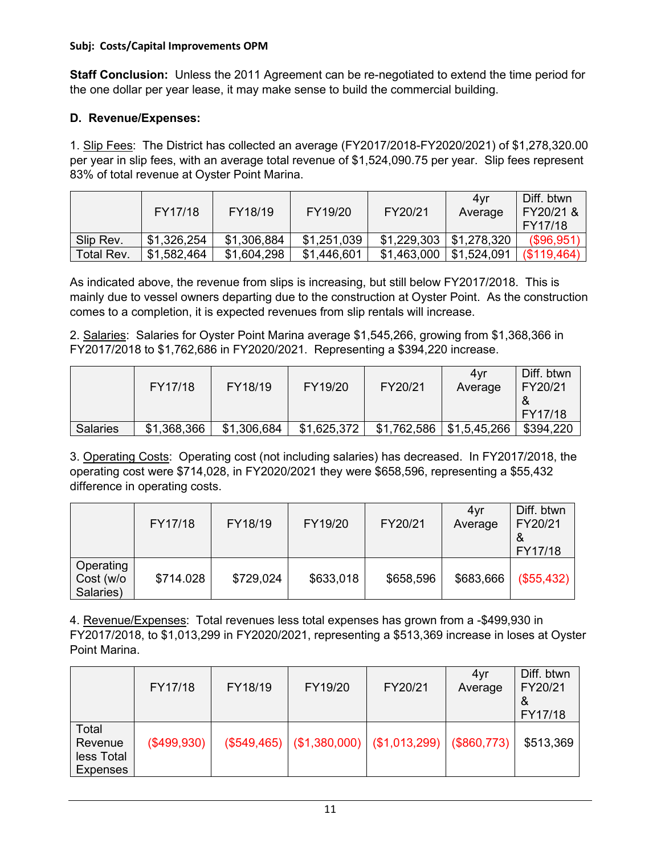**Staff Conclusion:** Unless the 2011 Agreement can be re-negotiated to extend the time period for the one dollar per year lease, it may make sense to build the commercial building.

# **D. Revenue/Expenses:**

1. Slip Fees: The District has collected an average (FY2017/2018-FY2020/2021) of \$1,278,320.00 per year in slip fees, with an average total revenue of \$1,524,090.75 per year. Slip fees represent 83% of total revenue at Oyster Point Marina.

|            | FY17/18     | FY18/19     | FY19/20     | FY20/21     | 4vr<br>Average | Diff. btwn<br>FY20/21 &<br>FY17/18 |
|------------|-------------|-------------|-------------|-------------|----------------|------------------------------------|
| Slip Rev.  | \$1,326,254 | \$1,306,884 | \$1,251,039 | \$1,229,303 | \$1,278,320    | $($ \$96,951)                      |
| Total Rev. | \$1,582,464 | \$1,604,298 | \$1,446,601 | \$1,463,000 | \$1,524,091    | (\$119,464)                        |

As indicated above, the revenue from slips is increasing, but still below FY2017/2018. This is mainly due to vessel owners departing due to the construction at Oyster Point. As the construction comes to a completion, it is expected revenues from slip rentals will increase.

2. Salaries: Salaries for Oyster Point Marina average \$1,545,266, growing from \$1,368,366 in FY2017/2018 to \$1,762,686 in FY2020/2021. Representing a \$394,220 increase.

|                 | FY17/18     | FY18/19     | FY19/20     | FY20/21     | 4vr<br>Average | Diff, btwn<br>FY20/21<br>FY17/18 |
|-----------------|-------------|-------------|-------------|-------------|----------------|----------------------------------|
| <b>Salaries</b> | \$1,368,366 | \$1,306,684 | \$1,625,372 | \$1,762,586 | \$1,5,45,266   | \$394,220                        |

3. Operating Costs: Operating cost (not including salaries) has decreased. In FY2017/2018, the operating cost were \$714,028, in FY2020/2021 they were \$658,596, representing a \$55,432 difference in operating costs.

|                                     | FY17/18   | FY18/19   | FY19/20   | FY20/21   | 4yr<br>Average | Diff. btwn<br>FY20/21<br>FY17/18 |
|-------------------------------------|-----------|-----------|-----------|-----------|----------------|----------------------------------|
| Operating<br>Cost (w/o<br>Salaries) | \$714.028 | \$729,024 | \$633,018 | \$658,596 | \$683,666      | (\$55,432)                       |

4. Revenue/Expenses: Total revenues less total expenses has grown from a -\$499,930 in FY2017/2018, to \$1,013,299 in FY2020/2021, representing a \$513,369 increase in loses at Oyster Point Marina.

|                                            | FY17/18     | FY18/19 | FY19/20                                                        | FY20/21 | 4yr<br>Average | Diff. btwn<br>FY20/21<br>୪<br>FY17/18 |
|--------------------------------------------|-------------|---------|----------------------------------------------------------------|---------|----------------|---------------------------------------|
| Total<br>Revenue<br>less Total<br>Expenses | (\$499,930) |         | $(\$549,465)$ $  ($1,380,000)$ $  ($1,013,299)$ $  ($860,773)$ |         |                | \$513,369                             |